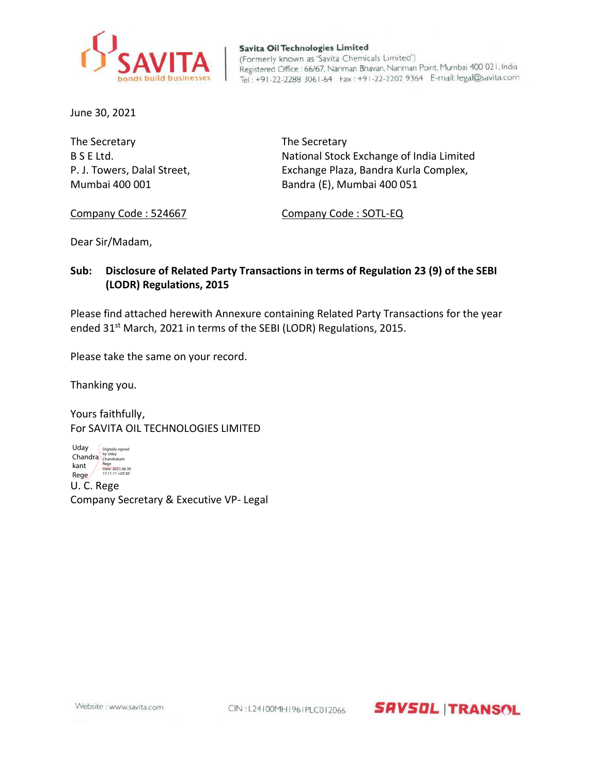

Savita Oil Technologies Limited (Formerly known as 'Savita Chemicals Limited') Registered Office : 66/67, Nariman Bhavan, Nariman Point, Mumbai 400 021, India Tel: +91-22-2288 3061-64 Fax: +91-22-2202 9364 E-mail: legal@savita.com

June 30, 2021

The Secretary The Secretary

B S E Ltd. National Stock Exchange of India Limited P. J. Towers, Dalal Street, Exchange Plaza, Bandra Kurla Complex, Mumbai 400 001 Bandra (E), Mumbai 400 051

Company Code : 524667 Company Code : SOTL-EQ

Dear Sir/Madam,

## **Sub: Disclosure of Related Party Transactions in terms of Regulation 23 (9) of the SEBI (LODR) Regulations, 2015**

Please find attached herewith Annexure containing Related Party Transactions for the year ended 31<sup>st</sup> March, 2021 in terms of the SEBI (LODR) Regulations, 2015.

Please take the same on your record.

Thanking you.

Yours faithfully, For SAVITA OIL TECHNOLOGIES LIMITED

U. C. Rege Company Secretary & Executive VP- Legal Uday Chandra by Uday kant / Rege Digitally signed Rege Date: 2021.06.30 17:11:11 +05'30'

Website : www.savita.com

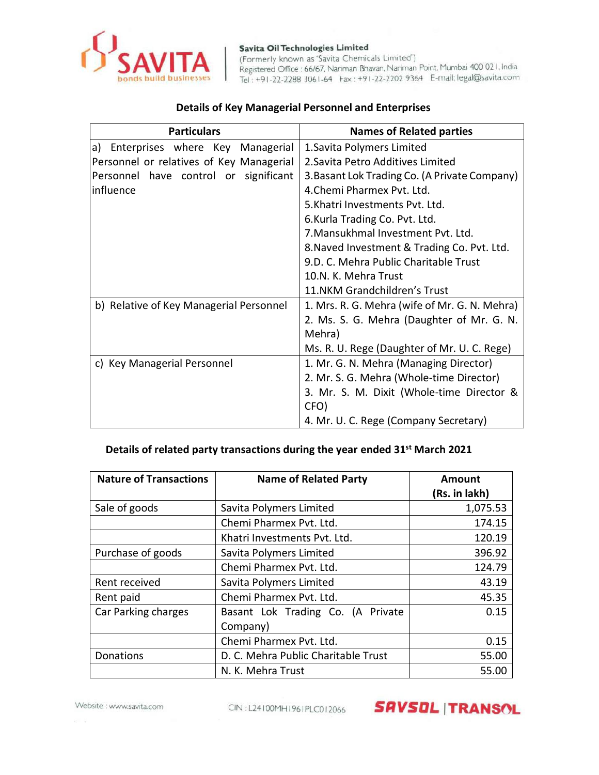

Savita Oil Technologies Limited (Formerly known as 'Savita Chemicals Limited') Registered Office : 66/67, Nariman Bhavan, Nariman Point, Mumbai 400 021, India Tel: +91-22-2288 3061-64 Fax: +91-22-2202 9364 E-mail: legal@savita.com

## **Details of Key Managerial Personnel and Enterprises**

| <b>Particulars</b>                       | <b>Names of Related parties</b>               |  |
|------------------------------------------|-----------------------------------------------|--|
| Enterprises where Key Managerial<br>a)   | 1. Savita Polymers Limited                    |  |
| Personnel or relatives of Key Managerial | 2. Savita Petro Additives Limited             |  |
| Personnel have control or significant    | 3. Basant Lok Trading Co. (A Private Company) |  |
| influence                                | 4. Chemi Pharmex Pvt. Ltd.                    |  |
|                                          | 5. Khatri Investments Pyt. Ltd.               |  |
|                                          | 6.Kurla Trading Co. Pvt. Ltd.                 |  |
|                                          | 7. Mansukhmal Investment Pyt. Ltd.            |  |
|                                          | 8. Naved Investment & Trading Co. Pvt. Ltd.   |  |
|                                          | 9.D. C. Mehra Public Charitable Trust         |  |
|                                          | 10.N. K. Mehra Trust                          |  |
|                                          | 11.NKM Grandchildren's Trust                  |  |
| b) Relative of Key Managerial Personnel  | 1. Mrs. R. G. Mehra (wife of Mr. G. N. Mehra) |  |
|                                          | 2. Ms. S. G. Mehra (Daughter of Mr. G. N.     |  |
|                                          | Mehra)                                        |  |
|                                          | Ms. R. U. Rege (Daughter of Mr. U. C. Rege)   |  |
| c) Key Managerial Personnel              | 1. Mr. G. N. Mehra (Managing Director)        |  |
|                                          | 2. Mr. S. G. Mehra (Whole-time Director)      |  |
|                                          | 3. Mr. S. M. Dixit (Whole-time Director &     |  |
|                                          | CFO)                                          |  |
|                                          | 4. Mr. U. C. Rege (Company Secretary)         |  |

## **Details of related party transactions during the year ended 31st March 2021**

| <b>Nature of Transactions</b> | <b>Name of Related Party</b>        | Amount<br>(Rs. in lakh) |
|-------------------------------|-------------------------------------|-------------------------|
| Sale of goods                 | Savita Polymers Limited             | 1,075.53                |
|                               | Chemi Pharmex Pvt. Ltd.             | 174.15                  |
|                               | Khatri Investments Pvt. Ltd.        | 120.19                  |
| Purchase of goods             | Savita Polymers Limited             | 396.92                  |
|                               | Chemi Pharmex Pvt. Ltd.             | 124.79                  |
| Rent received                 | Savita Polymers Limited             | 43.19                   |
| Rent paid                     | Chemi Pharmex Pvt. Ltd.             | 45.35                   |
| Car Parking charges           | Basant Lok Trading Co. (A Private   | 0.15                    |
|                               | Company)                            |                         |
|                               | Chemi Pharmex Pvt. Ltd.             | 0.15                    |
| Donations                     | D. C. Mehra Public Charitable Trust | 55.00                   |
|                               | N. K. Mehra Trust                   | 55.00                   |